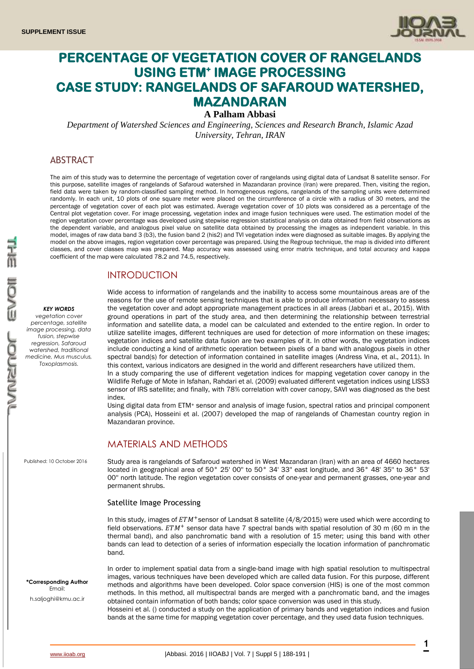

# **PERCENTAGE OF VEGETATION COVER OF RANGELANDS USING ETM<sup>+</sup> IMAGE PROCESSING CASE STUDY: RANGELANDS OF SAFAROUD WATERSHED, MAZANDARAN**

## **A Palham Abbasi**

*Department of Watershed Sciences and Engineering, Sciences and Research Branch, Islamic Azad University, Tehran, IRAN*

### ABSTRACT

The aim of this study was to determine the percentage of vegetation cover of rangelands using digital data of Landsat 8 satellite sensor. For this purpose, satellite images of rangelands of Safaroud watershed in Mazandaran province (Iran) were prepared. Then, visiting the region, field data were taken by random-classified sampling method. In homogeneous regions, rangelands of the sampling units were determined randomly. In each unit, 10 plots of one square meter were placed on the circumference of a circle with a radius of 30 meters, and the percentage of vegetation cover of each plot was estimated. Average vegetation cover of 10 plots was considered as a percentage of the Central plot vegetation cover. For image processing, vegetation index and image fusion techniques were used. The estimation model of the region vegetation cover percentage was developed using stepwise regression statistical analysis on data obtained from field observations as the dependent variable, and analogous pixel value on satellite data obtained by processing the images as independent variable. In this model, images of raw data band 3 (b3), the fusion band 2 (his2) and TVI vegetation index were diagnosed as suitable images. By applying the model on the above images, region vegetation cover percentage was prepared. Using the Regroup technique, the map is divided into different classes, and cover classes map was prepared. Map accuracy was assessed using error matrix technique, and total accuracy and kappa coefficient of the map were calculated 78.2 and 74.5, respectively.

### INTRODUCTION

#### *KEY WORDS*

*vegetation cover percentage, satellite image processing, data fusion, stepwise regression, Safaroud watershed, traditional medicine, Mus musculus, Toxoplasmosis.*

Published: 10 October 2016

Wide access to information of rangelands and the inability to access some mountainous areas are of the reasons for the use of remote sensing techniques that is able to produce information necessary to assess the vegetation cover and adopt appropriate management practices in all areas (Jabbari et al., 2015). With ground operations in part of the study area, and then determining the relationship between terrestrial information and satellite data, a model can be calculated and extended to the entire region. In order to utilize satellite images, different techniques are used for detection of more information on these images; vegetation indices and satellite data fusion are two examples of it. In other words, the vegetation indices include conducting a kind of arithmetic operation between pixels of a band with analogous pixels in other spectral band(s) for detection of information contained in satellite images (Andress Vina, et al., 2011). In this context, various indicators are designed in the world and different researchers have utilized them.

In a study comparing the use of different vegetation indices for mapping vegetation cover canopy in the Wildlife Refuge of Mote in Isfahan, Rahdari et al. (2009) evaluated different vegetation indices using LISS3 sensor of IRS satellite; and finally, with 78% correlation with cover canopy, SAVI was diagnosed as the best index.

Using digital data from ETM<sup>+</sup> sensor and analysis of image fusion, spectral ratios and principal component analysis (PCA), Hosseini et al. (2007) developed the map of rangelands of Chamestan country region in Mazandaran province.

### MATERIALS AND METHODS

Study area is rangelands of Safaroud watershed in West Mazandaran (Iran) with an area of 4660 hectares located in geographical area of 50° 25' 00'' to 50° 34' 33'' east longitude, and 36° 48' 35'' to 36° 53' 00'' north latitude. The region vegetation cover consists of one-year and permanent grasses, one-year and permanent shrubs.

### Satellite Image Processing

In this study, images of  $ETM$ <sup>+</sup>sensor of Landsat 8 satellite (4/8/2015) were used which were according to field observations.  $ETM<sup>+</sup>$  sensor data have 7 spectral bands with spatial resolution of 30 m (60 m in the thermal band), and also panchromatic band with a resolution of 15 meter; using this band with other bands can lead to detection of a series of information especially the location information of panchromatic band.

In order to implement spatial data from a single-band image with high spatial resolution to multispectral images, various techniques have been developed which are called data fusion. For this purpose, different methods and algorithms have been developed. Color space conversion (HIS) is one of the most common methods. In this method, all multispectral bands are merged with a panchromatic band, and the images obtained contain information of both bands; color space conversion was used in this study.

Hosseini et al. () conducted a study on the application of primary bands and vegetation indices and fusion bands at the same time for mapping vegetation cover percentage, and they used data fusion techniques.

**\*Corresponding Author** Email: h.saljoghi@kmu.ac.ir

**1**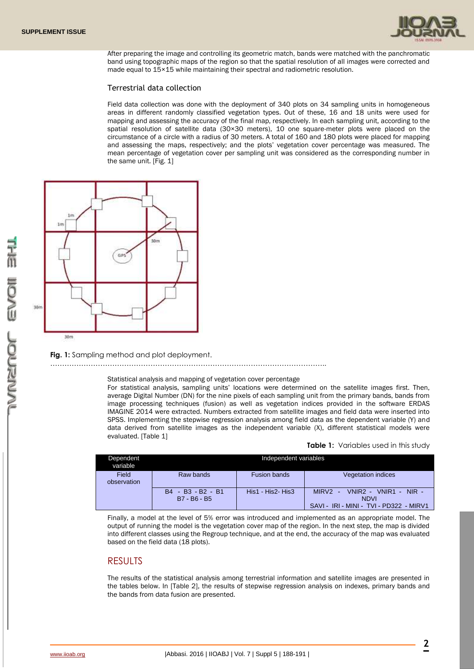

After preparing the image and controlling its geometric match, bands were matched with the panchromatic band using topographic maps of the region so that the spatial resolution of all images were corrected and made equal to 15×15 while maintaining their spectral and radiometric resolution.

#### Terrestrial data collection

Field data collection was done with the deployment of 340 plots on 34 sampling units in homogeneous areas in different randomly classified vegetation types. Out of these, 16 and 18 units were used for mapping and assessing the accuracy of the final map, respectively. In each sampling unit, according to the spatial resolution of satellite data (30×30 meters), 10 one square-meter plots were placed on the circumstance of a circle with a radius of 30 meters. A total of 160 and 180 plots were placed for mapping and assessing the maps, respectively; and the plots' vegetation cover percentage was measured. The mean percentage of vegetation cover per sampling unit was considered as the corresponding number in the same unit. [Fig. 1]



**Fig. 1:** Sampling method and plot deployment.

Statistical analysis and mapping of vegetation cover percentage

For statistical analysis, sampling units' locations were determined on the satellite images first. Then, average Digital Number (DN) for the nine pixels of each sampling unit from the primary bands, bands from image processing techniques (fusion) as well as vegetation indices provided in the software ERDAS IMAGINE 2014 were extracted. Numbers extracted from satellite images and field data were inserted into SPSS. Implementing the stepwise regression analysis among field data as the dependent variable (Y) and data derived from satellite images as the independent variable (X), different statistical models were evaluated. [Table 1]

**Table 1:** Variables used in this study

| Dependent<br>variable |                                   | Independent variables |                                                                                                |  |
|-----------------------|-----------------------------------|-----------------------|------------------------------------------------------------------------------------------------|--|
| Field<br>observation  | Raw bands                         | <b>Fusion bands</b>   | Vegetation indices                                                                             |  |
|                       | B4 - B3 - B2 - B1<br>B7 - B6 - B5 | His1 - His2- His3     | $VNIR2 - VNIR1 - NIR -$<br>$MIRV2 -$<br><b>NDVI</b><br>SAVI - IRI - MINI - TVI - PD322 - MIRV1 |  |

Finally, a model at the level of 5% error was introduced and implemented as an appropriate model. The output of running the model is the vegetation cover map of the region. In the next step, the map is divided into different classes using the Regroup technique, and at the end, the accuracy of the map was evaluated based on the field data (18 plots).

### RESULTS

The results of the statistical analysis among terrestrial information and satellite images are presented in the tables below. In [Table 2], the results of stepwise regression analysis on indexes, primary bands and the bands from data fusion are presented.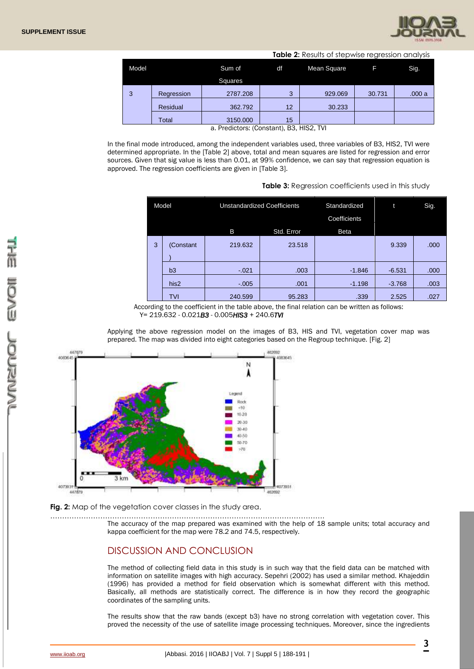

|   |       |            |                           |                 | Table 2: Results of stepwise regression analysis |        |       |  |
|---|-------|------------|---------------------------|-----------------|--------------------------------------------------|--------|-------|--|
|   | Model |            | Sum of                    | df              | Mean Square                                      |        | Sig.  |  |
|   |       |            | <b>Squares</b>            |                 |                                                  |        |       |  |
| 3 |       | Regression | 2787.208                  | 3               | 929.069                                          | 30.731 | .000a |  |
|   |       | Residual   | 362.792                   | 12 <sup>°</sup> | 30.233                                           |        |       |  |
|   |       | Total      | 3150.000<br>$\sim$ $\sim$ | 15<br>- -       | .                                                |        |       |  |

a. Predictors: (Constant), B3, HIS2, TVI

In the final mode introduced, among the independent variables used, three variables of B3, HIS2, TVI were determined appropriate. In the [Table 2] above, total and mean squares are listed for regression and error sources. Given that sig value is less than 0.01, at 99% confidence, we can say that regression equation is approved. The regression coefficients are given in [Table 3].

| Table 3: Regression coefficients used in this study |  |  |  |  |
|-----------------------------------------------------|--|--|--|--|
|-----------------------------------------------------|--|--|--|--|

| Model |   |                 | <b>Unstandardized Coefficients</b> |        | Standardized<br>Coefficients |          | Sig. |
|-------|---|-----------------|------------------------------------|--------|------------------------------|----------|------|
|       |   | B<br>Std. Error |                                    |        | <b>Beta</b>                  |          |      |
|       | 3 | (Constant       | 219.632                            | 23.518 |                              | 9.339    | .000 |
|       |   | b3              | $-021$                             | .003   | $-1.846$                     | $-6.531$ | .000 |
|       |   | his2            | $-.005$                            | .001   | $-1.198$                     | $-3.768$ | .003 |
|       |   | TVI             | 240.599                            | 95.283 | .339                         | 2.525    | .027 |

According to the coefficient in the table above, the final relation can be written as follows: Y= 219.632 - 0.021*B3* - 0.005*HIS3* + 240.6*TVI*

Applying the above regression model on the images of B3, HIS and TVI, vegetation cover map was prepared. The map was divided into eight categories based on the Regroup technique. [Fig. 2]



**Fig. 2:** Map of the vegetation cover classes in the study area.

……………………………………………………………………………………………………. The accuracy of the map prepared was examined with the help of 18 sample units; total accuracy and kappa coefficient for the map were 78.2 and 74.5, respectively.

### DISCUSSION AND CONCLUSION

The method of collecting field data in this study is in such way that the field data can be matched with information on satellite images with high accuracy. Sepehri (2002) has used a similar method. Khajeddin (1996) has provided a method for field observation which is somewhat different with this method. Basically, all methods are statistically correct. The difference is in how they record the geographic coordinates of the sampling units.

The results show that the raw bands (except b3) have no strong correlation with vegetation cover. This proved the necessity of the use of satellite image processing techniques. Moreover, since the ingredients